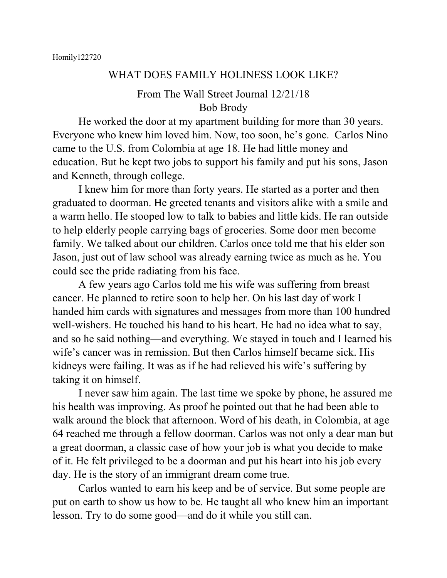## WHAT DOES FAMILY HOLINESS LOOK LIKE?

## From The Wall Street Journal 12/21/18 Bob Brody

He worked the door at my apartment building for more than 30 years. Everyone who knew him loved him. Now, too soon, he's gone. Carlos Nino came to the U.S. from Colombia at age 18. He had little money and education. But he kept two jobs to support his family and put his sons, Jason and Kenneth, through college.

I knew him for more than forty years. He started as a porter and then graduated to doorman. He greeted tenants and visitors alike with a smile and a warm hello. He stooped low to talk to babies and little kids. He ran outside to help elderly people carrying bags of groceries. Some door men become family. We talked about our children. Carlos once told me that his elder son Jason, just out of law school was already earning twice as much as he. You could see the pride radiating from his face.

A few years ago Carlos told me his wife was suffering from breast cancer. He planned to retire soon to help her. On his last day of work I handed him cards with signatures and messages from more than 100 hundred well-wishers. He touched his hand to his heart. He had no idea what to say, and so he said nothing—and everything. We stayed in touch and I learned his wife's cancer was in remission. But then Carlos himself became sick. His kidneys were failing. It was as if he had relieved his wife's suffering by taking it on himself.

I never saw him again. The last time we spoke by phone, he assured me his health was improving. As proof he pointed out that he had been able to walk around the block that afternoon. Word of his death, in Colombia, at age 64 reached me through a fellow doorman. Carlos was not only a dear man but a great doorman, a classic case of how your job is what you decide to make of it. He felt privileged to be a doorman and put his heart into his job every day. He is the story of an immigrant dream come true.

Carlos wanted to earn his keep and be of service. But some people are put on earth to show us how to be. He taught all who knew him an important lesson. Try to do some good—and do it while you still can.